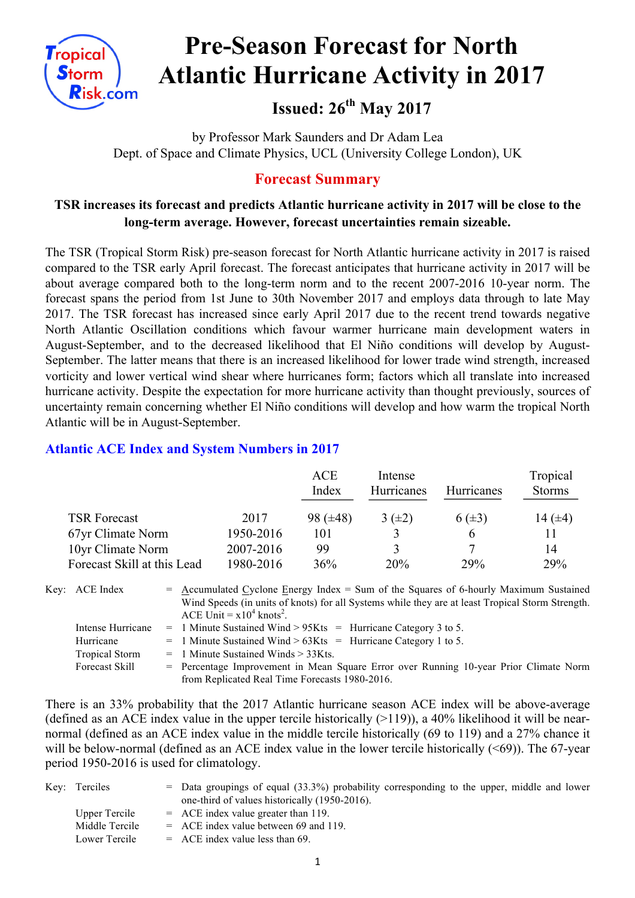

# **Pre-Season Forecast for North Atlantic Hurricane Activity in 2017**

## **Issued: 26th May 2017**

by Professor Mark Saunders and Dr Adam Lea Dept. of Space and Climate Physics, UCL (University College London), UK

#### **Forecast Summary**

#### **TSR increases its forecast and predicts Atlantic hurricane activity in 2017 will be close to the long-term average. However, forecast uncertainties remain sizeable.**

The TSR (Tropical Storm Risk) pre-season forecast for North Atlantic hurricane activity in 2017 is raised compared to the TSR early April forecast. The forecast anticipates that hurricane activity in 2017 will be about average compared both to the long-term norm and to the recent 2007-2016 10-year norm. The forecast spans the period from 1st June to 30th November 2017 and employs data through to late May 2017. The TSR forecast has increased since early April 2017 due to the recent trend towards negative North Atlantic Oscillation conditions which favour warmer hurricane main development waters in August-September, and to the decreased likelihood that El Niño conditions will develop by August-September. The latter means that there is an increased likelihood for lower trade wind strength, increased vorticity and lower vertical wind shear where hurricanes form; factors which all translate into increased hurricane activity. Despite the expectation for more hurricane activity than thought previously, sources of uncertainty remain concerning whether El Niño conditions will develop and how warm the tropical North Atlantic will be in August-September.

#### **Atlantic ACE Index and System Numbers in 2017**

|                             |           | <b>ACE</b><br>Index | Intense<br><b>Hurricanes</b> | <b>Hurricanes</b> | Tropical<br><b>Storms</b> |
|-----------------------------|-----------|---------------------|------------------------------|-------------------|---------------------------|
| <b>TSR Forecast</b>         | 2017      | 98 $(\pm 48)$       | $3(\pm 2)$                   | $6(\pm 3)$        | 14 $(\pm 4)$              |
| 67yr Climate Norm           | 1950-2016 | 101                 |                              | h                 | 11                        |
| 10yr Climate Norm           | 2007-2016 | 99                  | 3                            |                   | 14                        |
| Forecast Skill at this Lead | 1980-2016 | 36%                 | 20%                          | 29%               | 29%                       |

Key: ACE Index  $=$  Accumulated Cyclone Energy Index = Sum of the Squares of 6-hourly Maximum Sustained Wind Speeds (in units of knots) for all Systems while they are at least Tropical Storm Strength. ACE Unit =  $x10^4$  knots<sup>2</sup>. Intense Hurricane = 1 Minute Sustained Wind  $> 95K$ ts = Hurricane Category 3 to 5. Hurricane  $= 1$  Minute Sustained Wind  $> 63K$ ts = Hurricane Category 1 to 5. Tropical Storm = 1 Minute Sustained Winds > 33Kts.

Forecast Skill = Percentage Improvement in Mean Square Error over Running 10-year Prior Climate Norm from Replicated Real Time Forecasts 1980-2016.

There is an 33% probability that the 2017 Atlantic hurricane season ACE index will be above-average (defined as an ACE index value in the upper tercile historically  $(>119)$ ), a 40% likelihood it will be nearnormal (defined as an ACE index value in the middle tercile historically (69 to 119) and a 27% chance it will be below-normal (defined as an ACE index value in the lower tercile historically (<69)). The 67-year period 1950-2016 is used for climatology.

| Key: Terciles  | $=$ Data groupings of equal (33.3%) probability corresponding to the upper, middle and lower |
|----------------|----------------------------------------------------------------------------------------------|
|                | one-third of values historically (1950-2016).                                                |
| Upper Tercile  | $=$ ACE index value greater than 119.                                                        |
| Middle Tercile | $=$ ACE index value between 69 and 119.                                                      |
| Lower Tercile  | $=$ ACE index value less than 69.                                                            |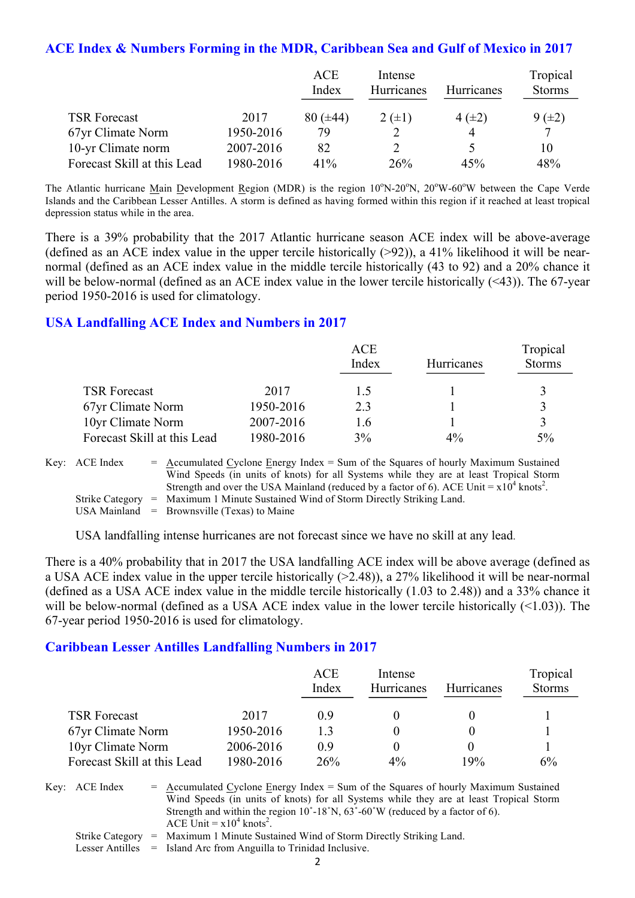#### **ACE Index & Numbers Forming in the MDR, Caribbean Sea and Gulf of Mexico in 2017**

|                             |           | <b>ACE</b><br>Index | Intense<br>Hurricanes | <b>Hurricanes</b> | Tropical<br><b>Storms</b> |
|-----------------------------|-----------|---------------------|-----------------------|-------------------|---------------------------|
| <b>TSR Forecast</b>         | 2017      | $80 (\pm 44)$       | $2 (+1)$              | $4(\pm 2)$        | $9(\pm 2)$                |
| 67yr Climate Norm           | 1950-2016 | 79                  |                       |                   | 7                         |
| 10-yr Climate norm          | 2007-2016 | 82                  |                       |                   | 10                        |
| Forecast Skill at this Lead | 1980-2016 | 41%                 | 26%                   | 45%               | 48%                       |

The Atlantic hurricane Main Development Region (MDR) is the region 10°N-20°N, 20°W-60°W between the Cape Verde Islands and the Caribbean Lesser Antilles. A storm is defined as having formed within this region if it reached at least tropical depression status while in the area.

There is a 39% probability that the 2017 Atlantic hurricane season ACE index will be above-average (defined as an ACE index value in the upper tercile historically  $(>92)$ ), a 41% likelihood it will be nearnormal (defined as an ACE index value in the middle tercile historically (43 to 92) and a 20% chance it will be below-normal (defined as an ACE index value in the lower tercile historically (<43)). The 67-year period 1950-2016 is used for climatology.

#### **USA Landfalling ACE Index and Numbers in 2017**

|                             |           | <b>ACE</b><br>Index | Hurricanes | Tropical<br><b>Storms</b> |
|-----------------------------|-----------|---------------------|------------|---------------------------|
| <b>TSR Forecast</b>         | 2017      | 1.5                 |            |                           |
| 67yr Climate Norm           | 1950-2016 | 2.3                 |            |                           |
| 10yr Climate Norm           | 2007-2016 | 1.6                 |            |                           |
| Forecast Skill at this Lead | 1980-2016 | 3%                  | $4\%$      | $5\%$                     |

| Key: ACE Index | $=$ Accumulated Cyclone Energy Index $=$ Sum of the Squares of hourly Maximum Sustained                |
|----------------|--------------------------------------------------------------------------------------------------------|
|                | Wind Speeds (in units of knots) for all Systems while they are at least Tropical Storm                 |
|                | Strength and over the USA Mainland (reduced by a factor of 6). ACE Unit $= x10^4$ knots <sup>2</sup> . |
|                | Strike Category = Maximum 1 Minute Sustained Wind of Storm Directly Striking Land.                     |
|                | USA Mainland $=$ Brownsville (Texas) to Maine                                                          |

USA landfalling intense hurricanes are not forecast since we have no skill at any lead.

There is a 40% probability that in 2017 the USA landfalling ACE index will be above average (defined as a USA ACE index value in the upper tercile historically (>2.48)), a 27% likelihood it will be near-normal (defined as a USA ACE index value in the middle tercile historically (1.03 to 2.48)) and a 33% chance it will be below-normal (defined as a USA ACE index value in the lower tercile historically (<1.03)). The 67-year period 1950-2016 is used for climatology.

#### **Caribbean Lesser Antilles Landfalling Numbers in 2017**

|                             |           | ACE<br>Index | Intense<br><b>Hurricanes</b> | <b>Hurricanes</b> | Tropical<br><b>Storms</b> |
|-----------------------------|-----------|--------------|------------------------------|-------------------|---------------------------|
| <b>TSR Forecast</b>         | 2017      | ()9          |                              |                   |                           |
| 67yr Climate Norm           | 1950-2016 | 13           |                              |                   |                           |
| 10yr Climate Norm           | 2006-2016 | 09           |                              |                   |                           |
| Forecast Skill at this Lead | 1980-2016 | 26%          | $4\%$                        | 19%               | 6%                        |

Key:  $ACE Index = Accumulated Cyclone Energy Index = Sum of the Squares of hourly Maximum Sustainable$ Wind Speeds (in units of knots) for all Systems while they are at least Tropical Storm Strength and within the region  $10^{\circ}$ -18°N,  $63^{\circ}$ -60°W (reduced by a factor of 6). ACE Unit =  $x10^4$  knots<sup>2</sup>.

- Strike Category = Maximum 1 Minute Sustained Wind of Storm Directly Striking Land.
- Lesser Antilles = Island Arc from Anguilla to Trinidad Inclusive.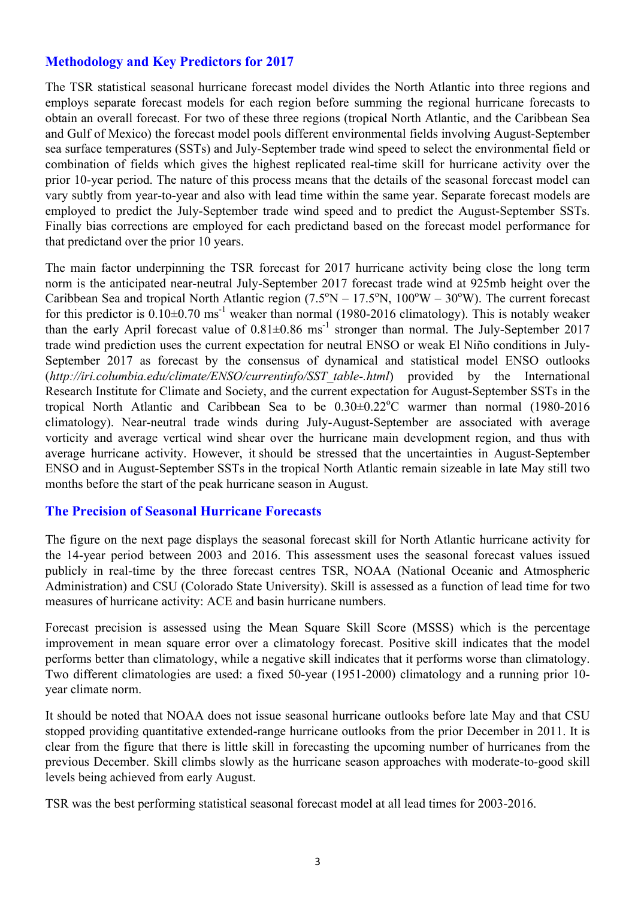#### **Methodology and Key Predictors for 2017**

The TSR statistical seasonal hurricane forecast model divides the North Atlantic into three regions and employs separate forecast models for each region before summing the regional hurricane forecasts to obtain an overall forecast. For two of these three regions (tropical North Atlantic, and the Caribbean Sea and Gulf of Mexico) the forecast model pools different environmental fields involving August-September sea surface temperatures (SSTs) and July-September trade wind speed to select the environmental field or combination of fields which gives the highest replicated real-time skill for hurricane activity over the prior 10-year period. The nature of this process means that the details of the seasonal forecast model can vary subtly from year-to-year and also with lead time within the same year. Separate forecast models are employed to predict the July-September trade wind speed and to predict the August-September SSTs. Finally bias corrections are employed for each predictand based on the forecast model performance for that predictand over the prior 10 years.

The main factor underpinning the TSR forecast for 2017 hurricane activity being close the long term norm is the anticipated near-neutral July-September 2017 forecast trade wind at 925mb height over the Caribbean Sea and tropical North Atlantic region  $(7.5^{\circ}N - 17.5^{\circ}N, 100^{\circ}W - 30^{\circ}W)$ . The current forecast for this predictor is  $0.10\pm0.70$  ms<sup>-1</sup> weaker than normal (1980-2016 climatology). This is notably weaker than the early April forecast value of  $0.81 \pm 0.86$  ms<sup>-1</sup> stronger than normal. The July-September 2017 trade wind prediction uses the current expectation for neutral ENSO or weak El Niño conditions in July-September 2017 as forecast by the consensus of dynamical and statistical model ENSO outlooks (*http://iri.columbia.edu/climate/ENSO/currentinfo/SST\_table-.html*) provided by the International Research Institute for Climate and Society, and the current expectation for August-September SSTs in the tropical North Atlantic and Caribbean Sea to be  $0.30 \pm 0.22$ °C warmer than normal (1980-2016 climatology). Near-neutral trade winds during July-August-September are associated with average vorticity and average vertical wind shear over the hurricane main development region, and thus with average hurricane activity. However, it should be stressed that the uncertainties in August-September ENSO and in August-September SSTs in the tropical North Atlantic remain sizeable in late May still two months before the start of the peak hurricane season in August.

#### **The Precision of Seasonal Hurricane Forecasts**

The figure on the next page displays the seasonal forecast skill for North Atlantic hurricane activity for the 14-year period between 2003 and 2016. This assessment uses the seasonal forecast values issued publicly in real-time by the three forecast centres TSR, NOAA (National Oceanic and Atmospheric Administration) and CSU (Colorado State University). Skill is assessed as a function of lead time for two measures of hurricane activity: ACE and basin hurricane numbers.

Forecast precision is assessed using the Mean Square Skill Score (MSSS) which is the percentage improvement in mean square error over a climatology forecast. Positive skill indicates that the model performs better than climatology, while a negative skill indicates that it performs worse than climatology. Two different climatologies are used: a fixed 50-year (1951-2000) climatology and a running prior 10 year climate norm.

It should be noted that NOAA does not issue seasonal hurricane outlooks before late May and that CSU stopped providing quantitative extended-range hurricane outlooks from the prior December in 2011. It is clear from the figure that there is little skill in forecasting the upcoming number of hurricanes from the previous December. Skill climbs slowly as the hurricane season approaches with moderate-to-good skill levels being achieved from early August.

TSR was the best performing statistical seasonal forecast model at all lead times for 2003-2016.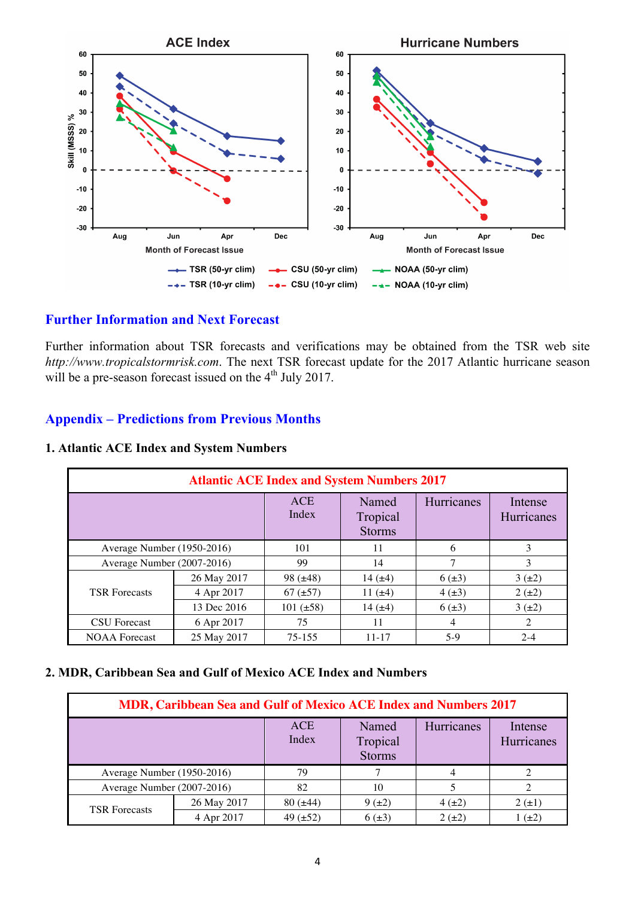

#### **Further Information and Next Forecast**

Further information about TSR forecasts and verifications may be obtained from the TSR web site *http://www.tropicalstormrisk.com*. The next TSR forecast update for the 2017 Atlantic hurricane season will be a pre-season forecast issued on the 4<sup>th</sup> July 2017.

#### **Appendix – Predictions from Previous Months**

| <b>Atlantic ACE Index and System Numbers 2017</b> |             |                |                                    |            |                       |  |  |
|---------------------------------------------------|-------------|----------------|------------------------------------|------------|-----------------------|--|--|
|                                                   |             | ACE<br>Index   | Named<br>Tropical<br><b>Storms</b> | Hurricanes | Intense<br>Hurricanes |  |  |
| Average Number (1950-2016)                        |             | 101            | 11                                 | 6          | 3                     |  |  |
| Average Number (2007-2016)                        |             | 99             | 14                                 |            | 3                     |  |  |
|                                                   | 26 May 2017 | $98 (\pm 48)$  | 14 $(\pm 4)$                       | $6(\pm 3)$ | $3(\pm 2)$            |  |  |
| <b>TSR Forecasts</b>                              | 4 Apr 2017  | $67 (\pm 57)$  | 11 $(±4)$                          | $4(\pm 3)$ | $2(\pm 2)$            |  |  |
|                                                   | 13 Dec 2016 | $101 (\pm 58)$ | 14 $(±4)$                          | $6(\pm 3)$ | $3(\pm 2)$            |  |  |
| <b>CSU</b> Forecast                               | 6 Apr 2017  | 75             | 11                                 | 4          | 2                     |  |  |
| <b>NOAA</b> Forecast                              | 25 May 2017 | 75-155         | $11 - 17$                          | $5-9$      | $2 - 4$               |  |  |

#### **1. Atlantic ACE Index and System Numbers**

#### **2. MDR, Caribbean Sea and Gulf of Mexico ACE Index and Numbers**

| MDR, Caribbean Sea and Gulf of Mexico ACE Index and Numbers 2017 |             |                     |                                    |            |                       |  |  |
|------------------------------------------------------------------|-------------|---------------------|------------------------------------|------------|-----------------------|--|--|
|                                                                  |             | <b>ACE</b><br>Index | Named<br>Tropical<br><b>Storms</b> | Hurricanes | Intense<br>Hurricanes |  |  |
| Average Number (1950-2016)                                       |             | 79                  | 7                                  | 4          |                       |  |  |
| Average Number (2007-2016)                                       |             | 82                  | 10                                 |            |                       |  |  |
| <b>TSR Forecasts</b>                                             | 26 May 2017 | $80 (\pm 44)$       | $9(\pm 2)$                         | $4(\pm 2)$ | $2(\pm 1)$            |  |  |
|                                                                  | 4 Apr 2017  | 49 $(\pm 52)$       | $6(\pm 3)$                         | $2(+2)$    | $(\pm 2)$             |  |  |